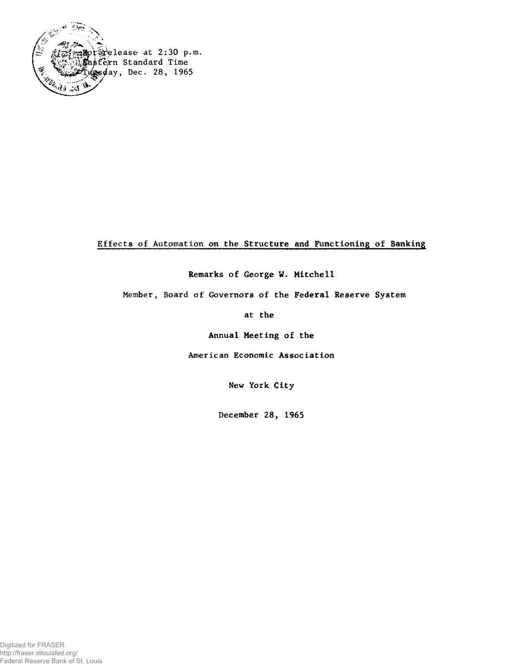

## Effects of Automation on the Structure and Functioning of Banking

Remarks of George W. Mitchell

Member, Board of Governors of the Federal Reserve System

at the

Annual Meeting of the

American Economic Association

New York City

December 28, 1965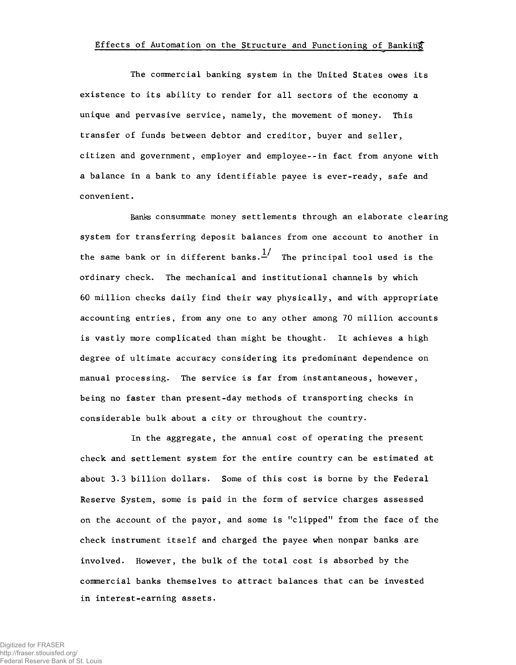## Effects of Automation on the Structure and Functioning of Banking

The commercial banking system in the United States owes its existence to its ability to render for all sectors of the economy a unique and pervasive service, namely, the movement of money. This transfer of funds between debtor and creditor, buyer and seller, citizen and government, employer and employee--in fact from anyone with a balance in a bank to any identifiable payee is ever-ready, safe and convenient.

Banks consummate money settlements through an elaborate clearing system for transferring deposit balances from one account to another in the same bank or in different banks. $\frac{1}{n}$  The principal tool used is the ordinary check. The mechanical and institutional channels by which 60 million checks daily find their way physically, and with appropriate accounting entries, from any one to any other among 70 million accounts is vastly more complicated than might be thought. It achieves a high degree of ultimate accuracy considering its predominant dependence on manual processing. The service is far from instantaneous, however, being no faster than present-day methods of transporting checks in considerable bulk about a city or throughout the country.

In the aggregate, the annual cost of operating the present check and settlement system for the entire country can be estimated at about 3.3 billion dollars. Some of this cost is borne by the Federal Reserve System, some is paid in the form of service charges assessed on the account of the payor, and some is "clipped" from the face of the check instrument itself and charged the payee when nonpar banks are involved. However, the bulk of the total cost is absorbed by the commercial banks themselves to attract balances that can be invested in interest-earning assets.

Digitized for FRASER http://fraser.stlouisfed.org/ Federal Reserve Bank of St. Louis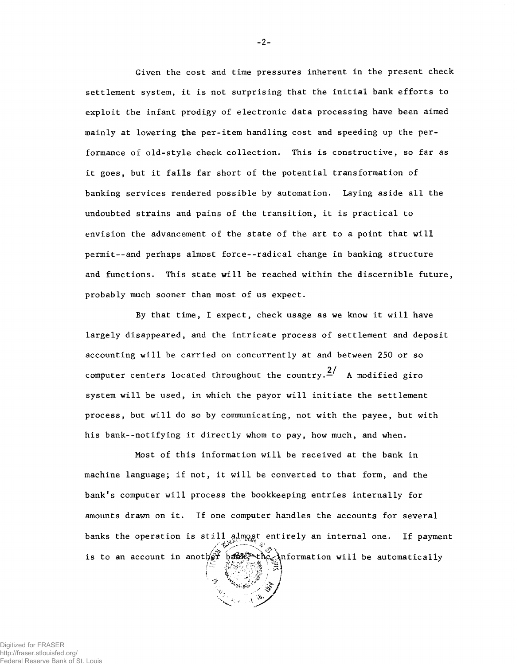Given the cost and time pressures inherent in the present check settlement system, it is not surprising that the initial bank efforts to mainly at lowering the per-item handling cost and speeding up the performance of old-style check collection. This is constructive, so far as it goes, but it falls far short of the potential transformation of banking services rendered possible by automation. Laying aside all the undoubted strains and pains of the transition, it is practical to envision the advancement of the state of the art to a point that will permit--and perhaps almost force--radical change in banking structure and functions. This state will be reached within the discernible future, probably much sooner than most of us expect. exploit the infant prodigy of electronic data processing have been aimed

largely disappeared, and the intricate process of settlement and deposit accounting will be carried on concurrently at and between 250 or so system will be used, in which the payor will initiate the settlement process, but will do so by communicating, not with the payee, but with his bank--notifying it directly whom to pay, how much, and when. By that time, I expect, check usage as we know it will have computer centers located throughout the country.<sup>2/</sup> A modified giro

machine language; if not, it will be converted to that form, and the bank's computer will process the bookkeeping entries internally for amounts drawn on it. If one computer handles the accounts for several Most of this information will be received at the bank in banks the operation is still almost entirely an internal one. If payment is to an account in another basis the information will be automatically

**-** 2 **-**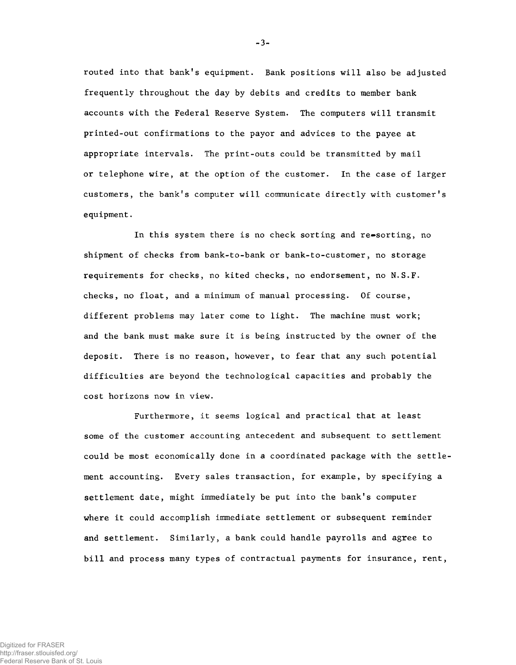routed into that bank's equipment. Bank positions will also be adjusted frequently throughout the day by debits and credits to member bank accounts with the Federal Reserve System. The computers will transmit printed-out confirmations to the payor and advices to the payee at appropriate intervals. The print-outs could be transmitted by mail or telephone wire, at the option of the customer. In the case of larger customers, the bank's computer will communicate directly with customer's equipment.

In this system there is no check sorting and re-sorting, no shipment of checks from bank-to-bank or bank-to-customer, no storage requirements for checks, no kited checks, no endorsement, no N.S.F. checks, no float, and a minimum of manual processing. Of course, different problems may later come to light. The machine must work; and the bank must make sure it is being instructed by the owner of the deposit. There is no reason, however, to fear that any such potential difficulties are beyond the technological capacities and probably the cost horizons now in view.

Furthermore, it seems logical and practical that at least some of the customer accounting antecedent and subsequent to settlement could be most economically done in a coordinated package with the settlement accounting. Every sales transaction, for example, by specifying a settlement date, might immediately be put into the bank's computer where it could accomplish immediate settlement or subsequent reminder and settlement. Similarly, a bank could handle payrolls and agree to bill and process many types of contractual payments for insurance, rent,

-3-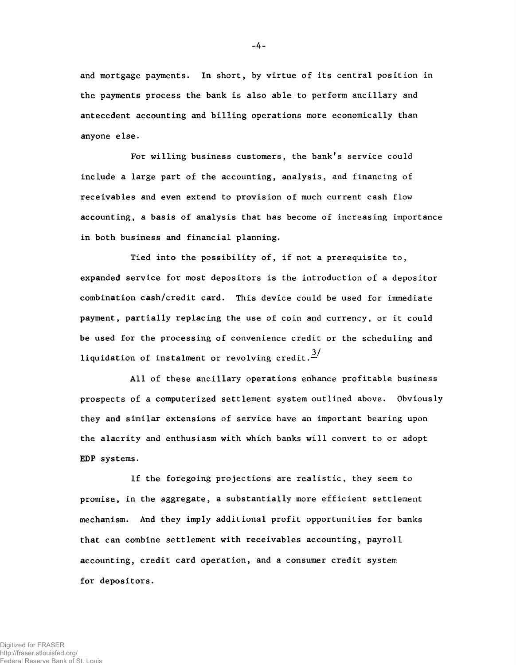and mortgage payments. In short, by virtue of its central position in the payments process the bank is also able to perform ancillary and antecedent accounting and billing operations more economically than anyone else.

For willing business customers, the bank's service could include a large part of the accounting, analysis, and financing of receivables and even extend to provision of much current cash flow accounting, a basis of analysis that has become of increasing importance in both business and financial planning.

Tied into the possibility of, if not a prerequisite to, expanded service for most depositors is the introduction of a depositor combination cash/credit card. This device could be used for immediate payment, partially replacing the use of coin and currency, or it could be used for the processing of convenience credit or the scheduling and liquidation of instalment or revolving credit.<sup>3/</sup>

All of these ancillary operations enhance profitable business prospects of a computerized settlement system outlined above. Obviously they and similar extensions of service have an important bearing upon the alacrity and enthusiasm with which banks will convert to or adopt EDP systems.

If the foregoing projections are realistic, they seem to promise, in the aggregate, a substantially more efficient settlement mechanism. And they imply additional profit opportunities for banks that can combine settlement with receivables accounting, payroll accounting, credit card operation, and a consumer credit system for depositors.

**-** 4 **-**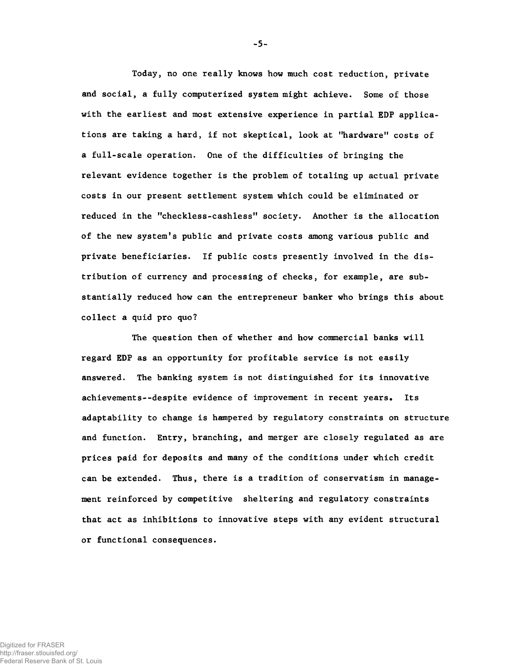Today, no one really knows how much cost reduction, private and social, a fully computerized system might achieve. Some of those with the earliest and most extensive experience in partial EDP applications are taking a hard, if not skeptical, look at "hardware" costs of a full-scale operation. One of the difficulties of bringing the relevant evidence together is the problem of totaling up actual private costs in our present settlement system which could be eliminated or reduced in the "checkless-cashless" society. Another is the allocation of the new system's public and private costs among various public and private beneficiaries. If public costs presently involved in the distribution of currency and processing of checks, for example, are substantially reduced how can the entrepreneur banker who brings this about collect a quid pro quo?

The question then of whether and how commercial banks will regard EDP as an opportunity for profitable service is not easily answered. The banking system is not distinguished for its innovative achievements--despite evidence of improvement in recent years. Its adaptability to change is hampered by regulatory constraints on structure and function. Entry, branching, and merger are closely regulated as are prices paid for deposits and many of the conditions under which credit can be extended. Thus, there is a tradition of conservatism in management reinforced by competitive sheltering and regulatory constraints that act as inhibitions to innovative steps with any evident structural or functional consequences.

-5-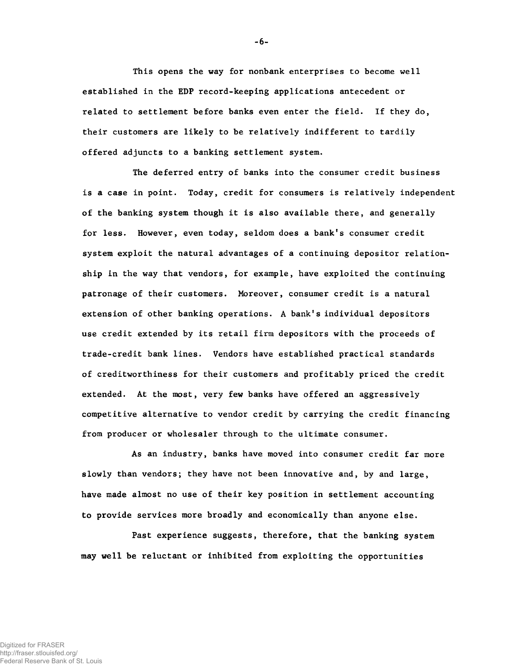This opens the way for nonbank enterprises to become well established in the EDP record-keeping applications antecedent or related to settlement before banks even enter the field. If they do, their customers are likely to be relatively indifferent to tardily offered adjuncts to a banking settlement system.

The deferred entry of banks into the consumer credit business is a case in point. Today, credit for consumers is relatively independent of the banking system though it is also available there, and generally for less. However, even today, seldom does a bank's consumer credit system exploit the natural advantages of a continuing depositor relationship in the way that vendors, for example, have exploited the continuing patronage of their customers. Moreover, consumer credit is a natural extension of other banking operations. A bank's individual depositors use credit extended by its retail firm depositors with the proceeds of trade-credit bank lines. Vendors have established practical standards of creditworthiness for their customers and profitably priced the credit extended. At the most, very few banks have offered an aggressively competitive alternative to vendor credit by carrying the credit financing from producer or wholesaler through to the ultimate consumer.

As an industry, banks have moved into consumer credit far more slowly than vendors; they have not been innovative and, by and large, have made almost no use of their key position in settlement accounting to provide services more broadly and economically than anyone else.

Past experience suggests, therefore, that the banking system may well be reluctant or inhibited from exploiting the opportunities

-6-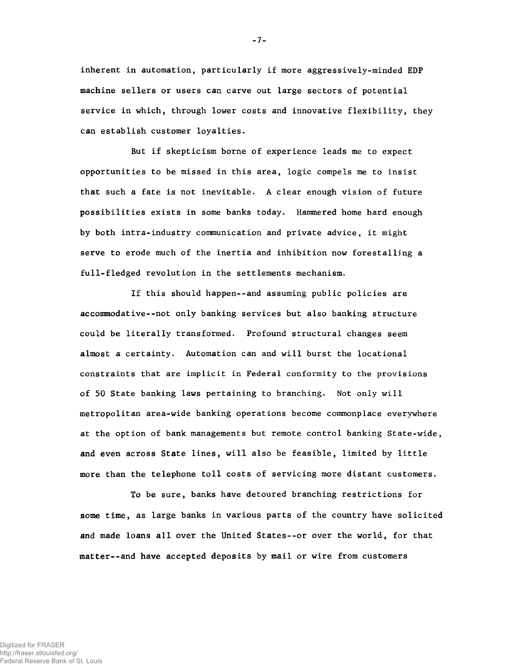inherent in automation, particularly if more aggressively-minded EDP machine sellers or users can carve out large sectors of potential service in which, through lower costs and innovative flexibility, they can establish customer loyalties.

But if skepticism borne of experience leads me to expect opportunities to be missed in this area, logic compels me to insist that such a fate is not inevitable. A clear enough vision of future possibilities exists in some banks today. Hammered home hard enough by both intra-industry communication and private advice, it might serve to erode much of the inertia and inhibition now forestalling a full-fledged revolution in the settlements mechanism.

If this should happen--and assuming public policies are accommodative--not only banking services but also banking structure could be literally transformed. Profound structural changes seem almost a certainty. Automation can and will burst the locational constraints that are implicit in Federal conformity to the provisions of 50 State banking laws pertaining to branching. Not only will metropolitan area-wide banking operations become commonplace everywhere at the option of bank managements but remote control banking State-wide, and even across State lines, will also be feasible, limited by little more than the telephone toll costs of servicing more distant customers.

To be sure, banks have detoured branching restrictions for some time, as large banks in various parts of the country have solicited and made loans all over the United States--or over the world, for that matter--and have accepted deposits by mail or wire from customers

**-** 7**-**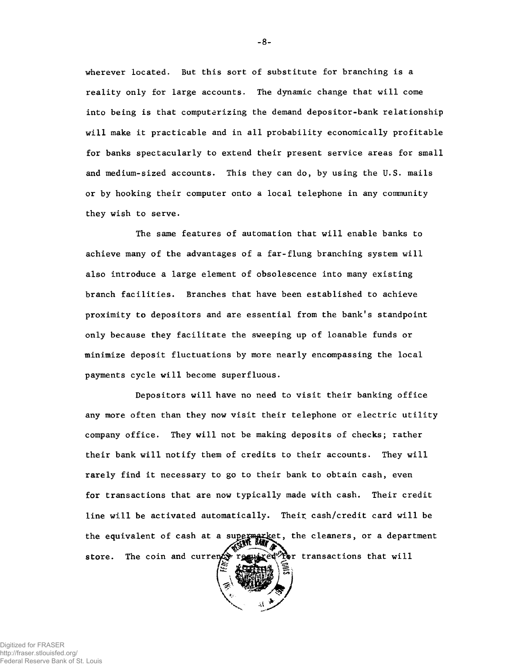wherever located. But this sort of substitute for branching is a reality only for large accounts. The dynamic change that will come will make it practicable and in all probability economically profitable for banks spectacularly to extend their present service areas for small and medium-sized accounts. This they can do, by using the U.S. mails or by hooking their computer onto a local telephone in any community they wish to serve. into being is that computerizing the demand depositor-bank relationship

achieve many of the advantages of a far-flung branching system will also introduce a large element of obsolescence into many existing branch facilities. Branches that have been established to achieve proximity to depositors and are essential from the bank's standpoint only because they facilitate the sweeping up of loanable funds or minimize deposit fluctuations by more nearly encompassing the local payments cycle will become superfluous. The same features of automation that will enable banks to

any more often than they now visit their telephone or electric utility company office. They will not be making deposits of checks; rather their bank will notify them of credits to their accounts. They will rarely find it necessary to go to their bank to obtain cash, even for transactions that are now typically made with cash. Their credit line will be activated automatically. Their cash/credit card will be Depositors will have no need to visit their banking office the equivalent of cash at a supermarket, the cleaners, or a department store. The coin and currence  $\mathbf{e}$   $\mathbf{e}$   $\mathbf{e}$  transactions that will



**-** 8 **-**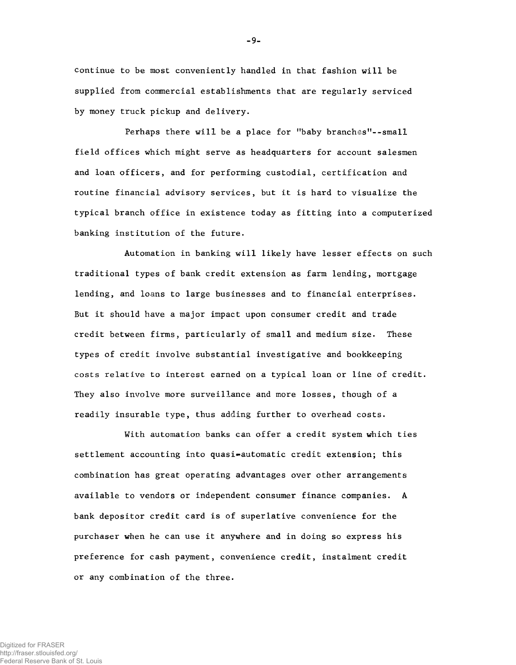continue to be most conveniently handled in that fashion will be supplied from commercial establishments that are regularly serviced by money truck pickup and delivery.

Perhaps there will be a place for "baby branches"--small field offices which might serve as headquarters for account salesmen and loan officers, and for performing custodial, certification and routine financial advisory services, but it is hard to visualize the typical branch office in existence today as fitting into a computerized banking institution of the future.

Automation in banking will likely have lesser effects on such traditional types of bank credit extension as farm lending, mortgage lending, and loans to large businesses and to financial enterprises. But it should have a major impact upon consumer credit and trade credit between firms, particularly of small and medium size. These types of credit involve substantial investigative and bookkeeping costs relative to interest earned on a typical loan or line of credit. They also involve more surveillance and more losses, though of a readily insurable type, thus adding further to overhead costs.

With automation banks can offer a credit system which ties settlement accounting into quasi-automatic credit extension; this combination has great operating advantages over other arrangements available to vendors or independent consumer finance companies. A bank depositor credit card is of superlative convenience for the purchaser when he can use it anywhere and in doing so express his preference for cash payment, convenience credit, instalment credit or any combination of the three.

**-** 9**-**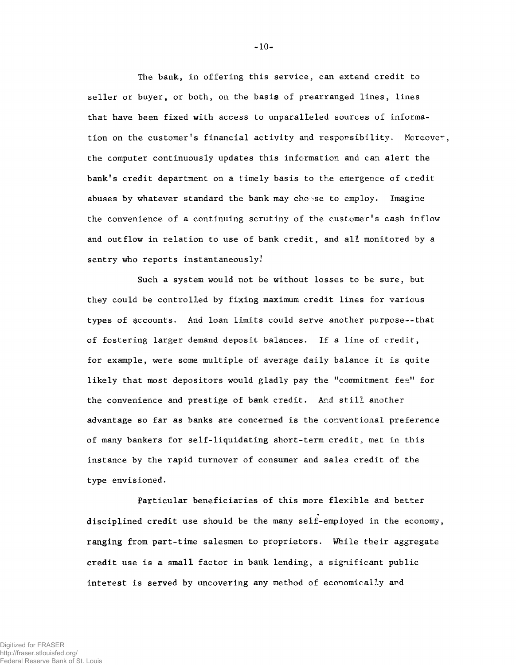The bank, in offering this service, can extend credit to seller or buyer, or both, on the basis of prearranged lines, lines that have been fixed with access to unparalleled sources of information on the customer's financial activity and responsibility. Moreover, the computer continuously updates this information and can alert the bank's credit department on a timely basis to the emergence of credit abuses by whatever standard the bank may choose to employ. Imagine the convenience of a continuing scrutiny of the customer's cash inflow and outflow in relation to use of bank credit, and all monitored by a sentry who reports instantaneously!

Such a system would not be without losses to be sure, but they could be controlled by fixing maximum credit lines for various types of accounts. And loan limits could serve another purpose--that of fostering larger demand deposit balances. If a line of credit, for example, were some multiple of average daily balance it is quite likely that most depositors would gladly pay the "commitment fee" for the convenience and prestige of bank credit. And still another advantage so far as banks are concerned is the conventional preference of many bankers for self-liquidating short-term credit, met in this instance by the rapid turnover of consumer and sales credit of the type envisioned.

Particular beneficiaries of this more flexible and better disciplined credit use should be the many self-employed in the economy, ranging from part-time salesmen to proprietors. While their aggregate credit use is a small factor in bank lending, a significant public interest is served by uncovering any method of economically and

-10-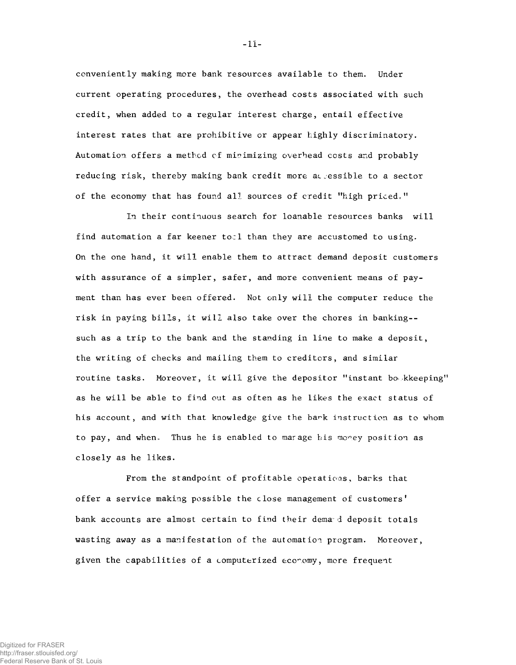conveniently making more bank resources available to them. Under current operating procedures, the overhead costs associated with such credit, when added to a regular interest charge, entail effective interest rates that are prohibitive or appear highly discriminatory. Automation offers a method of minimizing overhead costs and probably reducing risk, thereby making bank credit more accessible to a sector of the economy that has found all sources of credit "high priced."

In their continuous search for loanable resources banks will find automation a far keener tool than they are accustomed to using. On the one hand, it will enable them to attract demand deposit customers with assurance of a simpler, safer, and more convenient means of payment than has ever been offered. Not only will the computer reduce the risk in paying bills, it will also take over the chores in banking- such as a trip to the bank and the standing in line to make a deposit, the writing of checks and mailing them to creditors, and similar routine tasks. Moreover, it will give the depositor "instant bookkeeping" as he will be able to find out as often as he likes the exact status of his account, and with that knowledge give the bark instruction as to whom to pay, and when. Thus he is enabled to marage his money position as closely as he likes.

From the standpoint of profitable operations, barks that offer a service making possible the close management of customers' bank accounts are almost certain to find their dema d deposit totals wasting away as a manifestation of the automation program. Moreover, given the capabilities of a computerized economy, more frequent

-11-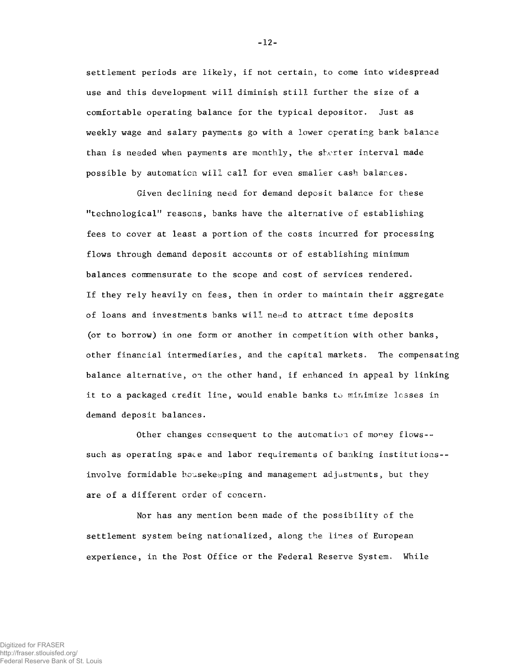settlement periods are likely, if not certain, to come into widespread use and this development will diminish still further the size of a comfortable operating balance for the typical depositor. Just as weekly wage and salary payments go with a lower operating bank balance than is needed when payments are monthly, the shorter interval made possible by automation will call for even smaller cash balances.

Given declining need for demand deposit balance for these "technological" reasons, banks have the alternative of establishing fees to cover at least a portion of the costs incurred for processing flows through demand deposit accounts or of establishing minimum balances commensurate to the scope and cost of services rendered. If they rely heavily on fees, then in order to maintain their aggregate of loans and investments banks will need to attract time deposits (or to borrow) in one form or another in competition with other banks, other financial intermediaries, and the capital markets. The compensating balance alternative, on the other hand, if enhanced in appeal by linking it to a packaged credit line, would enable banks to minimize losses in demand deposit balances.

Other changes consequent to the automation of money flows- such as operating space and labor requirements of banking institutions- involve formidable housekeeping and management adjustments, but they are of a different order of concern.

Nor has any mention been made of the possibility of the settlement system being nationalized, along the lines of European experience, in the Post Office or the Federal Reserve System. While

-12-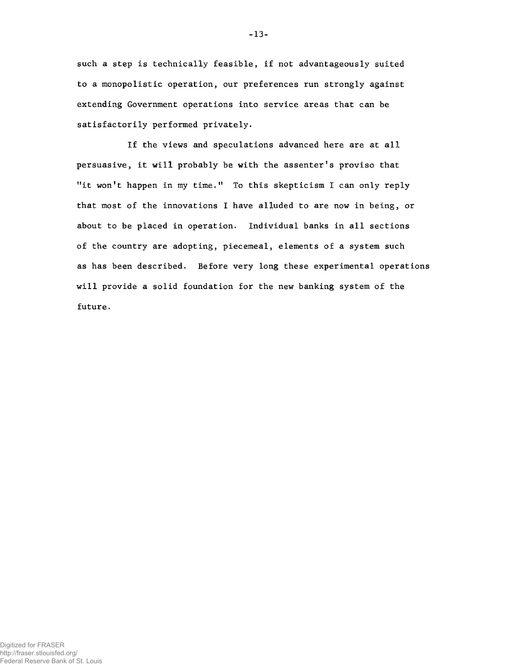such a step is technically feasible, if not advantageously suited to a monopolistic operation, our preferences run strongly against extending Government operations into service areas that can be satisfactorily performed privately.

If the views and speculations advanced here are at all persuasive, it will probably be with the assenter's proviso that "it won't happen in my time." To this skepticism I can only reply that most of the innovations I have alluded to are now in being, or about to be placed in operation. Individual banks in all sections of the country are adopting, piecemeal, elements of a system such as has been described. Before very long these experimental operations will provide a solid foundation for the new banking system of the future.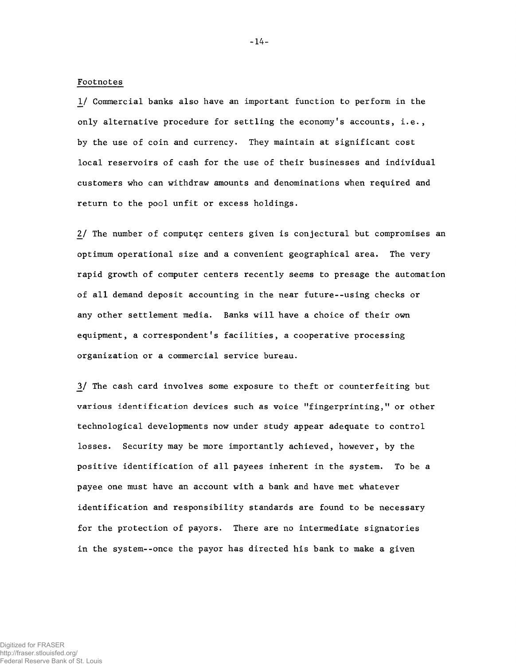Footnotes

*If* Commercial banks also have an important function to perform in the only alternative procedure for settling the economy's accounts, i.e., by the use of coin and currency. They maintain at significant cost local reservoirs of cash for the use of their businesses and individual customers who can withdraw amounts and denominations when required and return to the pool unfit or excess holdings.

27 The number of computer centers given is conjectural but compromises an optimum operational size and a convenient geographical area. The very rapid growth of computer centers recently seems to presage the automation of all demand deposit accounting in the near future--using checks or any other settlement media. Banks will have a choice of their own equipment, a correspondent's facilities, a cooperative processing organization or a commercial service bureau.

3/ The cash card involves some exposure to theft or counterfeiting but various identification devices such as voice "fingerprinting," or other technological developments now under study appear adequate to control losses. Security may be more importantly achieved, however, by the positive identification of all payees inherent in the system. To be a payee one must have an account with a bank and have met whatever identification and responsibility standards are found to be necessary for the protection of payors. There are no intermediate signatories in the system--once the payor has directed his bank to make a given

**-** 14**-**